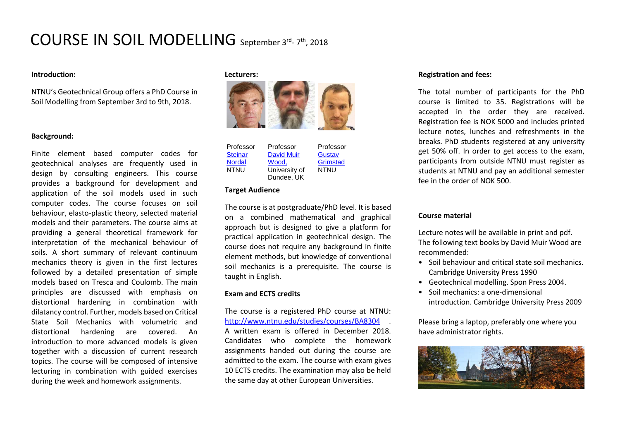# COURSE IN SOIL MODELLING September 3rd- 7th, 2018

## **Introduction:**

NTNU's Geotechnical Group offers a PhD Course in Soil Modelling from September 3rd to 9th, 2018.

#### **Background:**

Finite element based computer codes for geotechnical analyses are frequently used in design by consulting engineers. This course provides a background for development and application of the soil models used in such computer codes. The course focuses on soil behaviour, elasto-plastic theory, selected material models and their parameters. The course aims at providing a general theoretical framework for interpretation of the mechanical behaviour of soils. A short summary of relevant continuum mechanics theory is given in the first lectures followed by a detailed presentation of simple models based on Tresca and Coulomb. The main principles are discussed with emphasis on distortional hardening in combination with dilatancy control. Further, models based on Critical State Soil Mechanics with volumetric and distortional hardening are covered. An introduction to more advanced models is given together with a discussion of current research topics. The course will be composed of intensive lecturing in combination with guided exercises during the week and homework assignments.

#### **Lecturers:**



| Professor      | Professor         | Professor   |
|----------------|-------------------|-------------|
| <b>Steinar</b> | <b>David Muir</b> | Gustav      |
| <b>Nordal</b>  | Wood.             | Grimstad    |
| <b>NTNU</b>    | University of     | <b>NTNU</b> |
|                | Dundee, UK        |             |

#### **Target Audience**

The course is at postgraduate/PhD level. It is based on a combined mathematical and graphical approach but is designed to give a platform for practical application in geotechnical design. The course does not require any background in finite element methods, but knowledge of conventional soil mechanics is a prerequisite. The course is taught in English.

#### **Exam and ECTS credits**

The course is a registered PhD course at NTNU: <http://www.ntnu.edu/studies/courses/BA8304>. A written exam is offered in December 2018. Candidates who complete the homework assignments handed out during the course are admitted to the exam. The course with exam gives 10 ECTS credits. The examination may also be held the same day at other European Universities.

## **Registration and fees:**

The total number of participants for the PhD course is limited to 35. Registrations will be accepted in the order they are received. Registration fee is NOK 5000 and includes printed lecture notes, lunches and refreshments in the breaks. PhD students registered at any university get 50% off. In order to get access to the exam, participants from outside NTNU must register as students at NTNU and pay an additional semester fee in the order of NOK 500.

#### **Course material**

Lecture notes will be available in print and pdf. The following text books by David Muir Wood are recommended:

- Soil behaviour and critical state soil mechanics. Cambridge University Press 1990
- Geotechnical modelling. Spon Press 2004.
- Soil mechanics: a one-dimensional introduction. Cambridge University Press 2009

Please bring a laptop, preferably one where you have administrator rights.